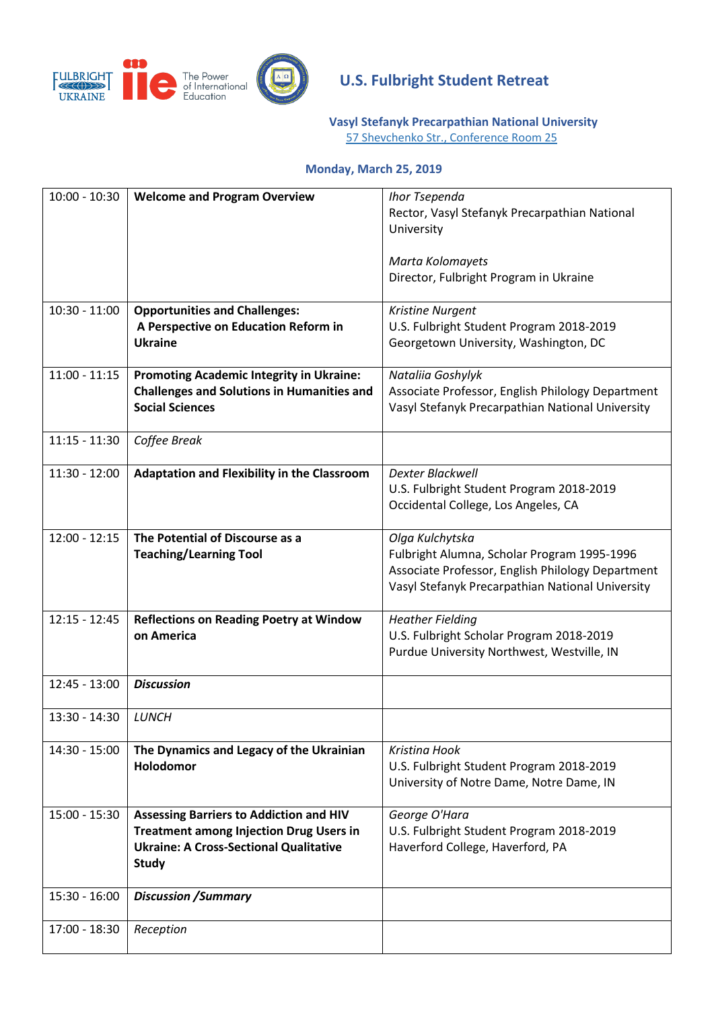

# **U.S. Fulbright Student Retreat**

**[Vasyl Stefanyk Precarpathian National University](https://pnu.edu.ua/en/)**

57 Shevchenko Str., [Conference Room 25](https://www.google.com/maps/place/Shevchenka+St,+57,+Ivano-Frankivs)

#### **Monday, March 25, 2019**

| $10:00 - 10:30$ | <b>Welcome and Program Overview</b>                | Ihor Tsependa                                     |
|-----------------|----------------------------------------------------|---------------------------------------------------|
|                 |                                                    | Rector, Vasyl Stefanyk Precarpathian National     |
|                 |                                                    | University                                        |
|                 |                                                    |                                                   |
|                 |                                                    | Marta Kolomayets                                  |
|                 |                                                    | Director, Fulbright Program in Ukraine            |
|                 |                                                    |                                                   |
| $10:30 - 11:00$ | <b>Opportunities and Challenges:</b>               | Kristine Nurgent                                  |
|                 | A Perspective on Education Reform in               | U.S. Fulbright Student Program 2018-2019          |
|                 | <b>Ukraine</b>                                     | Georgetown University, Washington, DC             |
|                 |                                                    |                                                   |
| $11:00 - 11:15$ | <b>Promoting Academic Integrity in Ukraine:</b>    | Nataliia Goshylyk                                 |
|                 | <b>Challenges and Solutions in Humanities and</b>  | Associate Professor, English Philology Department |
|                 | <b>Social Sciences</b>                             | Vasyl Stefanyk Precarpathian National University  |
|                 |                                                    |                                                   |
| $11:15 - 11:30$ | Coffee Break                                       |                                                   |
|                 |                                                    |                                                   |
| 11:30 - 12:00   | <b>Adaptation and Flexibility in the Classroom</b> | <b>Dexter Blackwell</b>                           |
|                 |                                                    | U.S. Fulbright Student Program 2018-2019          |
|                 |                                                    | Occidental College, Los Angeles, CA               |
|                 |                                                    |                                                   |
| $12:00 - 12:15$ | The Potential of Discourse as a                    | Olga Kulchytska                                   |
|                 | <b>Teaching/Learning Tool</b>                      | Fulbright Alumna, Scholar Program 1995-1996       |
|                 |                                                    | Associate Professor, English Philology Department |
|                 |                                                    | Vasyl Stefanyk Precarpathian National University  |
|                 |                                                    |                                                   |
| $12:15 - 12:45$ | <b>Reflections on Reading Poetry at Window</b>     | <b>Heather Fielding</b>                           |
|                 | on America                                         | U.S. Fulbright Scholar Program 2018-2019          |
|                 |                                                    | Purdue University Northwest, Westville, IN        |
|                 |                                                    |                                                   |
| $12:45 - 13:00$ | <b>Discussion</b>                                  |                                                   |
|                 |                                                    |                                                   |
| 13:30 - 14:30   | LUNCH                                              |                                                   |
|                 |                                                    |                                                   |
| $14:30 - 15:00$ | The Dynamics and Legacy of the Ukrainian           | Kristina Hook                                     |
|                 | <b>Holodomor</b>                                   | U.S. Fulbright Student Program 2018-2019          |
|                 |                                                    | University of Notre Dame, Notre Dame, IN          |
|                 |                                                    |                                                   |
| $15:00 - 15:30$ | <b>Assessing Barriers to Addiction and HIV</b>     | George O'Hara                                     |
|                 | <b>Treatment among Injection Drug Users in</b>     | U.S. Fulbright Student Program 2018-2019          |
|                 | <b>Ukraine: A Cross-Sectional Qualitative</b>      | Haverford College, Haverford, PA                  |
|                 | <b>Study</b>                                       |                                                   |
|                 |                                                    |                                                   |
| $15:30 - 16:00$ | <b>Discussion / Summary</b>                        |                                                   |
|                 |                                                    |                                                   |
| 17:00 - 18:30   | Reception                                          |                                                   |
|                 |                                                    |                                                   |
|                 |                                                    |                                                   |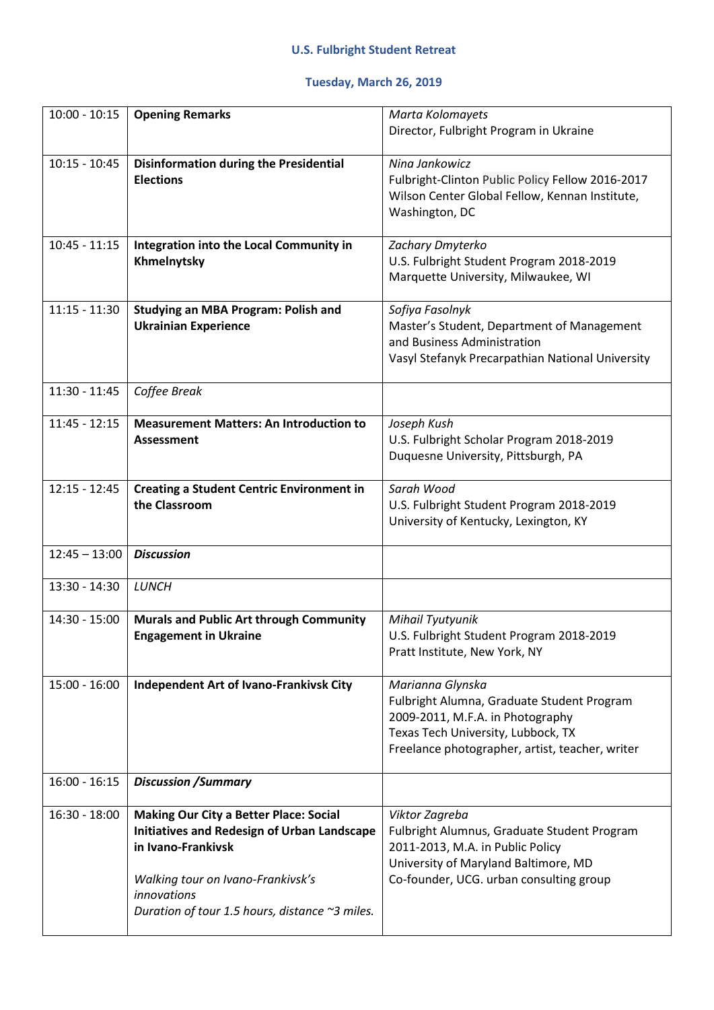## **Tuesday, March 26, 2019**

| $10:00 - 10:15$ | <b>Opening Remarks</b>                                                                                                                                                                                                          | Marta Kolomayets<br>Director, Fulbright Program in Ukraine                                                                                                                                  |
|-----------------|---------------------------------------------------------------------------------------------------------------------------------------------------------------------------------------------------------------------------------|---------------------------------------------------------------------------------------------------------------------------------------------------------------------------------------------|
| $10:15 - 10:45$ | <b>Disinformation during the Presidential</b><br><b>Elections</b>                                                                                                                                                               | Nina Jankowicz<br>Fulbright-Clinton Public Policy Fellow 2016-2017<br>Wilson Center Global Fellow, Kennan Institute,<br>Washington, DC                                                      |
| $10:45 - 11:15$ | Integration into the Local Community in<br>Khmelnytsky                                                                                                                                                                          | Zachary Dmyterko<br>U.S. Fulbright Student Program 2018-2019<br>Marquette University, Milwaukee, WI                                                                                         |
| $11:15 - 11:30$ | <b>Studying an MBA Program: Polish and</b><br><b>Ukrainian Experience</b>                                                                                                                                                       | Sofiya Fasolnyk<br>Master's Student, Department of Management<br>and Business Administration<br>Vasyl Stefanyk Precarpathian National University                                            |
| $11:30 - 11:45$ | Coffee Break                                                                                                                                                                                                                    |                                                                                                                                                                                             |
| $11:45 - 12:15$ | <b>Measurement Matters: An Introduction to</b><br><b>Assessment</b>                                                                                                                                                             | Joseph Kush<br>U.S. Fulbright Scholar Program 2018-2019<br>Duquesne University, Pittsburgh, PA                                                                                              |
| $12:15 - 12:45$ | <b>Creating a Student Centric Environment in</b><br>the Classroom                                                                                                                                                               | Sarah Wood<br>U.S. Fulbright Student Program 2018-2019<br>University of Kentucky, Lexington, KY                                                                                             |
| $12:45 - 13:00$ | <b>Discussion</b>                                                                                                                                                                                                               |                                                                                                                                                                                             |
| $13:30 - 14:30$ | <b>LUNCH</b>                                                                                                                                                                                                                    |                                                                                                                                                                                             |
| $14:30 - 15:00$ | <b>Murals and Public Art through Community</b><br><b>Engagement in Ukraine</b>                                                                                                                                                  | Mihail Tyutyunik<br>U.S. Fulbright Student Program 2018-2019<br>Pratt Institute, New York, NY                                                                                               |
| $15:00 - 16:00$ | <b>Independent Art of Ivano-Frankivsk City</b>                                                                                                                                                                                  | Marianna Glynska<br>Fulbright Alumna, Graduate Student Program<br>2009-2011, M.F.A. in Photography<br>Texas Tech University, Lubbock, TX<br>Freelance photographer, artist, teacher, writer |
| $16:00 - 16:15$ | <b>Discussion / Summary</b>                                                                                                                                                                                                     |                                                                                                                                                                                             |
| $16:30 - 18:00$ | <b>Making Our City a Better Place: Social</b><br><b>Initiatives and Redesign of Urban Landscape</b><br>in Ivano-Frankivsk<br>Walking tour on Ivano-Frankivsk's<br>innovations<br>Duration of tour 1.5 hours, distance ~3 miles. | Viktor Zagreba<br>Fulbright Alumnus, Graduate Student Program<br>2011-2013, M.A. in Public Policy<br>University of Maryland Baltimore, MD<br>Co-founder, UCG. urban consulting group        |